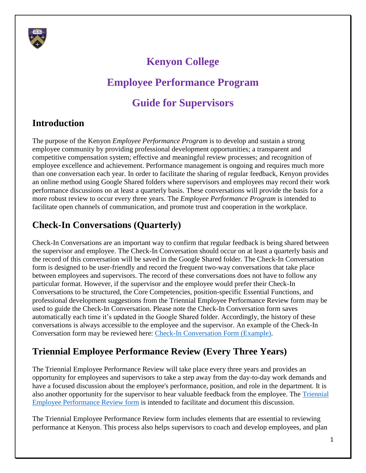

# **Kenyon College**

# **Employee Performance Program**

# **Guide for Supervisors**

### **Introduction**

The purpose of the Kenyon *Employee Performance Program* is to develop and sustain a strong employee community by providing professional development opportunities; a transparent and competitive compensation system; effective and meaningful review processes; and recognition of employee excellence and achievement. Performance management is ongoing and requires much more than one conversation each year. In order to facilitate the sharing of regular feedback, Kenyon provides an online method using Google Shared folders where supervisors and employees may record their work performance discussions on at least a quarterly basis. These conversations will provide the basis for a more robust review to occur every three years. The *Employee Performance Program* is intended to facilitate open channels of communication, and promote trust and cooperation in the workplace.

## **Check-In Conversations (Quarterly)**

Check-In Conversations are an important way to confirm that regular feedback is being shared between the supervisor and employee. The Check-In Conversation should occur on at least a quarterly basis and the record of this conversation will be saved in the Google Shared folder. The Check-In Conversation form is designed to be user-friendly and record the frequent two-way conversations that take place between employees and supervisors. The record of these conversations does not have to follow any particular format. However, if the supervisor and the employee would prefer their Check-In Conversations to be structured, the Core Competencies, position-specific Essential Functions, and professional development suggestions from the Triennial Employee Performance Review form may be used to guide the Check-In Conversation. Please note the Check-In Conversation form saves automatically each time it's updated in the Google Shared folder. Accordingly, the history of these conversations is always accessible to the employee and the supervisor. An example of the Check-In Conversation form may be reviewed here: Check-In Conversation Form (Example).

### **Triennial Employee Performance Review (Every Three Years)**

The Triennial Employee Performance Review will take place every three years and provides an opportunity for employees and supervisors to take a step away from the day-to-day work demands and have a focused discussion about the employee's performance, position, and role in the department. It is also another opportunity for the supervisor to hear valuable feedback from the employee. The Triennial Employee Performance Review form is intended to facilitate and document this discussion.

The Triennial Employee Performance Review form includes elements that are essential to reviewing performance at Kenyon. This process also helps supervisors to coach and develop employees, and plan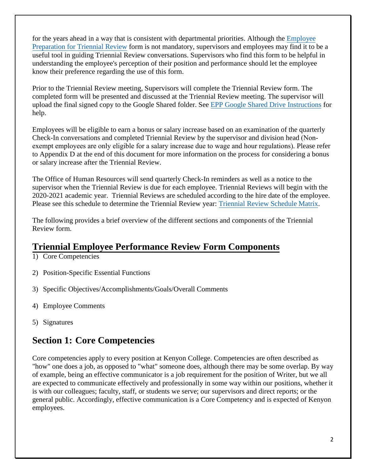for the years ahead in a way that is consistent with departmental priorities. Although the Employee Preparation for Triennial Review form is not mandatory, supervisors and employees may find it to be a useful tool in guiding Triennial Review conversations. Supervisors who find this form to be helpful in understanding the employee's perception of their position and performance should let the employee know their preference regarding the use of this form.

Prior to the Triennial Review meeting, Supervisors will complete the Triennial Review form. The completed form will be presented and discussed at the Triennial Review meeting. The supervisor will upload the final signed copy to the Google Shared folder. See EPP Google Shared Drive Instructions for help.

Employees will be eligible to earn a bonus or salary increase based on an examination of the quarterly Check-In conversations and completed Triennial Review by the supervisor and division head (Nonexempt employees are only eligible for a salary increase due to wage and hour regulations). Please refer to Appendix D at the end of this document for more information on the process for considering a bonus or salary increase after the Triennial Review.

The Office of Human Resources will send quarterly Check-In reminders as well as a notice to the supervisor when the Triennial Review is due for each employee. Triennial Reviews will begin with the 2020-2021 academic year. Triennial Reviews are scheduled according to the hire date of the employee. Please see this schedule to determine the Triennial Review year: Triennial Review Schedule Matrix.

The following provides a brief overview of the different sections and components of the Triennial Review form.

### **Triennial Employee Performance Review Form Components**

- 1) Core Competencies
- 2) Position-Specific Essential Functions
- 3) Specific Objectives/Accomplishments/Goals/Overall Comments
- 4) Employee Comments
- 5) Signatures

### **Section 1: Core Competencies**

Core competencies apply to every position at Kenyon College. Competencies are often described as "how" one does a job, as opposed to "what" someone does, although there may be some overlap. By way of example, being an effective communicator is a job requirement for the position of Writer, but we all are expected to communicate effectively and professionally in some way within our positions, whether it is with our colleagues; faculty, staff, or students we serve; our supervisors and direct reports; or the general public. Accordingly, effective communication is a Core Competency and is expected of Kenyon employees.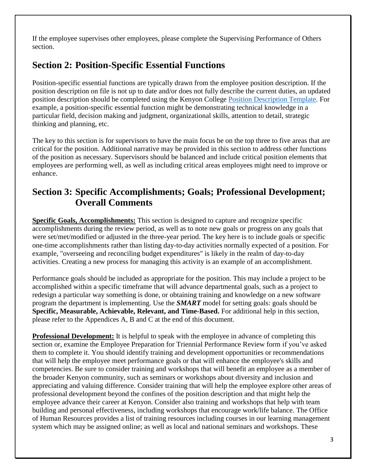If the employee supervises other employees, please complete the Supervising Performance of Others section.

### **Section 2: Position-Specific Essential Functions**

Position-specific essential functions are typically drawn from the employee position description. If the position description on file is not up to date and/or does not fully describe the current duties, an updated position description should be completed using the Kenyon College Position Description Template. For example, a position-specific essential function might be demonstrating technical knowledge in a particular field, decision making and judgment, organizational skills, attention to detail, strategic thinking and planning, etc.

The key to this section is for supervisors to have the main focus be on the top three to five areas that are critical for the position. Additional narrative may be provided in this section to address other functions of the position as necessary. Supervisors should be balanced and include critical position elements that employees are performing well, as well as including critical areas employees might need to improve or enhance.

### **Section 3: Specific Accomplishments; Goals; Professional Development; Overall Comments**

**Specific Goals, Accomplishments:** This section is designed to capture and recognize specific accomplishments during the review period, as well as to note new goals or progress on any goals that were set/met/modified or adjusted in the three-year period. The key here is to include goals or specific one-time accomplishments rather than listing day-to-day activities normally expected of a position. For example, "overseeing and reconciling budget expenditures" is likely in the realm of day-to-day activities. Creating a new process for managing this activity is an example of an accomplishment.

Performance goals should be included as appropriate for the position. This may include a project to be accomplished within a specific timeframe that will advance departmental goals, such as a project to redesign a particular way something is done, or obtaining training and knowledge on a new software program the department is implementing. Use the *SMART* model for setting goals: goals should be **Specific, Measurable, Achievable, Relevant, and Time-Based.** For additional help in this section, please refer to the Appendices A, B and C at the end of this document.

**Professional Development:** It is helpful to speak with the employee in advance of completing this section or, examine the Employee Preparation for Triennial Performance Review form if you've asked them to complete it. You should identify training and development opportunities or recommendations that will help the employee meet performance goals or that will enhance the employee's skills and competencies. Be sure to consider training and workshops that will benefit an employee as a member of the broader Kenyon community, such as seminars or workshops about diversity and inclusion and appreciating and valuing difference. Consider training that will help the employee explore other areas of professional development beyond the confines of the position description and that might help the employee advance their career at Kenyon. Consider also training and workshops that help with team building and personal effectiveness, including workshops that encourage work/life balance. The Office of Human Resources provides a list of training resources including courses in our learning management system which may be assigned online; as well as local and national seminars and workshops. These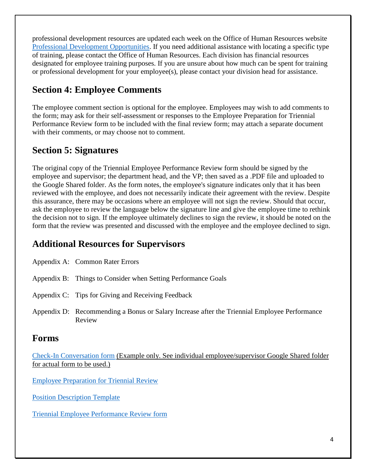professional development resources are updated each week on the Office of Human Resources website Professional Development Opportunities. If you need additional assistance with locating a specific type of training, please contact the Office of Human Resources. Each division has financial resources designated for employee training purposes. If you are unsure about how much can be spent for training or professional development for your employee(s), please contact your division head for assistance.

### **Section 4: Employee Comments**

The employee comment section is optional for the employee. Employees may wish to add comments to the form; may ask for their self-assessment or responses to the Employee Preparation for Triennial Performance Review form to be included with the final review form; may attach a separate document with their comments, or may choose not to comment.

### **Section 5: Signatures**

The original copy of the Triennial Employee Performance Review form should be signed by the employee and supervisor; the department head, and the VP; then saved as a .PDF file and uploaded to the Google Shared folder. As the form notes, the employee's signature indicates only that it has been reviewed with the employee, and does not necessarily indicate their agreement with the review. Despite this assurance, there may be occasions where an employee will not sign the review. Should that occur, ask the employee to review the language below the signature line and give the employee time to rethink the decision not to sign. If the employee ultimately declines to sign the review, it should be noted on the form that the review was presented and discussed with the employee and the employee declined to sign.

### **Additional Resources for Supervisors**

Appendix A: Common Rater Errors

- Appendix B: Things to Consider when Setting Performance Goals
- Appendix C: Tips for Giving and Receiving Feedback
- Appendix D: Recommending a Bonus or Salary Increase after the Triennial Employee Performance Review

#### **Forms**

Check-In Conversation form (Example only. See individual employee/supervisor Google Shared folder for actual form to be used.)

Employee Preparation for Triennial Review

Position Description Template

Triennial Employee Performance Review form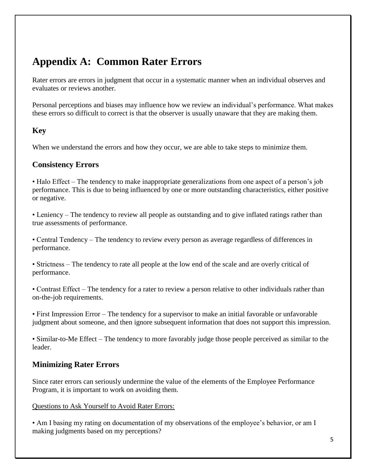# **Appendix A: Common Rater Errors**

Rater errors are errors in judgment that occur in a systematic manner when an individual observes and evaluates or reviews another.

Personal perceptions and biases may influence how we review an individual's performance. What makes these errors so difficult to correct is that the observer is usually unaware that they are making them.

#### **Key**

When we understand the errors and how they occur, we are able to take steps to minimize them.

#### **Consistency Errors**

• Halo Effect – The tendency to make inappropriate generalizations from one aspect of a person's job performance. This is due to being influenced by one or more outstanding characteristics, either positive or negative.

• Leniency – The tendency to review all people as outstanding and to give inflated ratings rather than true assessments of performance.

• Central Tendency – The tendency to review every person as average regardless of differences in performance.

• Strictness – The tendency to rate all people at the low end of the scale and are overly critical of performance.

• Contrast Effect – The tendency for a rater to review a person relative to other individuals rather than on-the-job requirements.

• First Impression Error – The tendency for a supervisor to make an initial favorable or unfavorable judgment about someone, and then ignore subsequent information that does not support this impression.

• Similar-to-Me Effect – The tendency to more favorably judge those people perceived as similar to the leader.

#### **Minimizing Rater Errors**

Since rater errors can seriously undermine the value of the elements of the Employee Performance Program, it is important to work on avoiding them.

#### Questions to Ask Yourself to Avoid Rater Errors:

• Am I basing my rating on documentation of my observations of the employee's behavior, or am I making judgments based on my perceptions?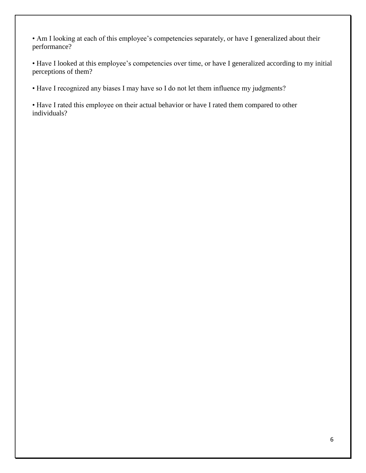• Am I looking at each of this employee's competencies separately, or have I generalized about their performance?

• Have I looked at this employee's competencies over time, or have I generalized according to my initial perceptions of them?

• Have I recognized any biases I may have so I do not let them influence my judgments?

• Have I rated this employee on their actual behavior or have I rated them compared to other individuals?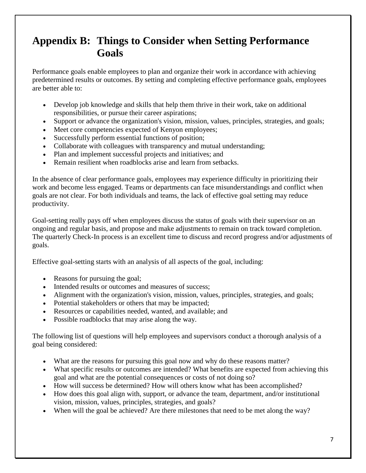# **Appendix B: Things to Consider when Setting Performance Goals**

Performance goals enable employees to plan and organize their work in accordance with achieving predetermined results or outcomes. By setting and completing effective performance goals, employees are better able to:

- Develop job knowledge and skills that help them thrive in their work, take on additional responsibilities, or pursue their career aspirations;
- Support or advance the organization's vision, mission, values, principles, strategies, and goals;
- Meet core competencies expected of Kenyon employees;
- Successfully perform essential functions of position;
- Collaborate with colleagues with transparency and mutual understanding;
- Plan and implement successful projects and initiatives; and
- Remain resilient when roadblocks arise and learn from setbacks.

In the absence of clear performance goals, employees may experience difficulty in prioritizing their work and become less engaged. Teams or departments can face misunderstandings and conflict when goals are not clear. For both individuals and teams, the lack of effective goal setting may reduce productivity.

Goal-setting really pays off when employees discuss the status of goals with their supervisor on an ongoing and regular basis, and propose and make adjustments to remain on track toward completion. The quarterly Check-In process is an excellent time to discuss and record progress and/or adjustments of goals.

Effective goal-setting starts with an analysis of all aspects of the goal, including:

- Reasons for pursuing the goal;
- Intended results or outcomes and measures of success;
- Alignment with the organization's vision, mission, values, principles, strategies, and goals;
- Potential stakeholders or others that may be impacted;
- Resources or capabilities needed, wanted, and available; and
- Possible roadblocks that may arise along the way.

The following list of questions will help employees and supervisors conduct a thorough analysis of a goal being considered:

- What are the reasons for pursuing this goal now and why do these reasons matter?
- What specific results or outcomes are intended? What benefits are expected from achieving this goal and what are the potential consequences or costs of not doing so?
- How will success be determined? How will others know what has been accomplished?
- How does this goal align with, support, or advance the team, department, and/or institutional vision, mission, values, principles, strategies, and goals?
- When will the goal be achieved? Are there milestones that need to be met along the way?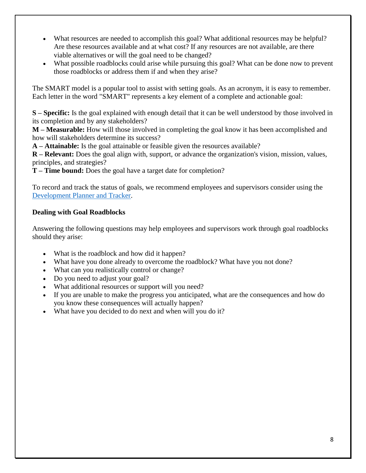- What resources are needed to accomplish this goal? What additional resources may be helpful? Are these resources available and at what cost? If any resources are not available, are there viable alternatives or will the goal need to be changed?
- What possible roadblocks could arise while pursuing this goal? What can be done now to prevent those roadblocks or address them if and when they arise?

The SMART model is a popular tool to assist with setting goals. As an acronym, it is easy to remember. Each letter in the word "SMART" represents a key element of a complete and actionable goal:

**S – Specific:** Is the goal explained with enough detail that it can be well understood by those involved in its completion and by any stakeholders?

**M – Measurable:** How will those involved in completing the goal know it has been accomplished and how will stakeholders determine its success?

**A – Attainable:** Is the goal attainable or feasible given the resources available?

**R – Relevant:** Does the goal align with, support, or advance the organization's vision, mission, values, principles, and strategies?

**T – Time bound:** Does the goal have a target date for completion?

To record and track the status of goals, we recommend employees and supervisors consider using the Development Planner and Tracker.

#### **Dealing with Goal Roadblocks**

Answering the following questions may help employees and supervisors work through goal roadblocks should they arise:

- What is the roadblock and how did it happen?
- What have you done already to overcome the roadblock? What have you not done?
- What can you realistically control or change?
- Do you need to adjust your goal?
- What additional resources or support will you need?
- If you are unable to make the progress you anticipated, what are the consequences and how do you know these consequences will actually happen?
- What have you decided to do next and when will you do it?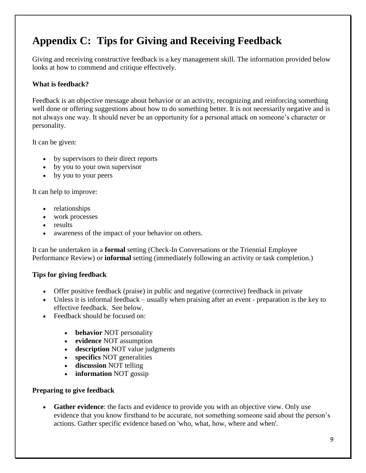# **Appendix C: Tips for Giving and Receiving Feedback**

Giving and receiving constructive feedback is a key management skill. The information provided below looks at how to commend and critique effectively.

#### **What is feedback?**

Feedback is an objective message about behavior or an activity, recognizing and reinforcing something well done or offering suggestions about how to do something better. It is not necessarily negative and is not always one way. It should never be an opportunity for a personal attack on someone's character or personality.

It can be given:

- by supervisors to their direct reports
- by you to your own supervisor
- by you to your peers

It can help to improve:

- relationships
- work processes
- results
- awareness of the impact of your behavior on others.

It can be undertaken in a **formal** setting (Check-In Conversations or the Triennial Employee Performance Review) or **informal** setting (immediately following an activity or task completion.)

#### **Tips for giving feedback**

- Offer positive feedback (praise) in public and negative (corrective) feedback in private
- Unless it is informal feedback usually when praising after an event preparation is the key to effective feedback. See below.
- Feedback should be focused on:
	- **behavior** NOT personality
	- **evidence** NOT assumption
	- **description** NOT value judgments
	- **specifics** NOT generalities
	- **discussion** NOT telling
	- **information** NOT gossip

#### **Preparing to give feedback**

 **Gather evidence**: the facts and evidence to provide you with an objective view. Only use evidence that you know firsthand to be accurate, not something someone said about the person's actions. Gather specific evidence based on 'who, what, how, where and when'.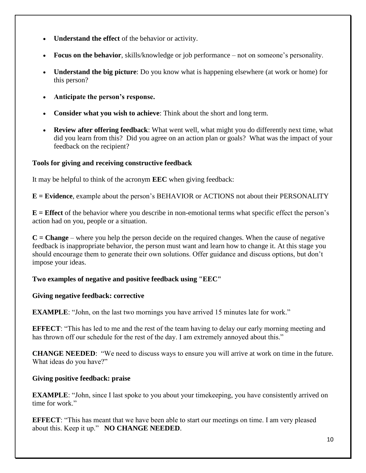- **Understand the effect** of the behavior or activity.
- **Focus on the behavior**, skills/knowledge or job performance not on someone's personality.
- **Understand the big picture**: Do you know what is happening elsewhere (at work or home) for this person?
- **Anticipate the person's response.**
- **Consider what you wish to achieve**: Think about the short and long term.
- **Review after offering feedback**: What went well, what might you do differently next time, what did you learn from this? Did you agree on an action plan or goals? What was the impact of your feedback on the recipient?

#### **Tools for giving and receiving constructive feedback**

It may be helpful to think of the acronym **EEC** when giving feedback:

**E = Evidence**, example about the person's BEHAVIOR or ACTIONS not about their PERSONALITY

**E = Effect** of the behavior where you describe in non-emotional terms what specific effect the person's action had on you, people or a situation.

**C = Change** – where you help the person decide on the required changes. When the cause of negative feedback is inappropriate behavior, the person must want and learn how to change it. At this stage you should encourage them to generate their own solutions. Offer guidance and discuss options, but don't impose your ideas.

#### **Two examples of negative and positive feedback using "EEC"**

#### **Giving negative feedback: corrective**

**EXAMPLE**: "John, on the last two mornings you have arrived 15 minutes late for work."

**EFFECT**: "This has led to me and the rest of the team having to delay our early morning meeting and has thrown off our schedule for the rest of the day. I am extremely annoyed about this."

**CHANGE NEEDED**: "We need to discuss ways to ensure you will arrive at work on time in the future. What ideas do you have?"

#### **Giving positive feedback: praise**

**EXAMPLE**: "John, since I last spoke to you about your timekeeping, you have consistently arrived on time for work."

**EFFECT**: "This has meant that we have been able to start our meetings on time. I am very pleased about this. Keep it up." **NO CHANGE NEEDED**.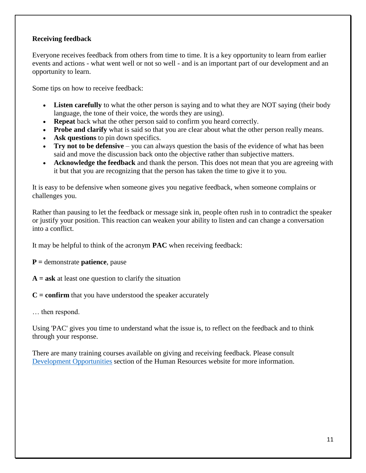#### **Receiving feedback**

Everyone receives feedback from others from time to time. It is a key opportunity to learn from earlier events and actions - what went well or not so well - and is an important part of our development and an opportunity to learn.

Some tips on how to receive feedback:

- Listen carefully to what the other person is saying and to what they are NOT saying (their body language, the tone of their voice, the words they are using).
- **Repeat** back what the other person said to confirm you heard correctly.
- **Probe and clarify** what is said so that you are clear about what the other person really means.
- **Ask questions** to pin down specifics.
- **Try not to be defensive** you can always question the basis of the evidence of what has been said and move the discussion back onto the objective rather than subjective matters.
- **Acknowledge the feedback** and thank the person. This does not mean that you are agreeing with it but that you are recognizing that the person has taken the time to give it to you.

It is easy to be defensive when someone gives you negative feedback, when someone complains or challenges you.

Rather than pausing to let the feedback or message sink in, people often rush in to contradict the speaker or justify your position. This reaction can weaken your ability to listen and can change a conversation into a conflict.

It may be helpful to think of the acronym **PAC** when receiving feedback:

**P =** demonstrate **patience**, pause

**A = ask** at least one question to clarify the situation

**C = confirm** that you have understood the speaker accurately

… then respond.

Using 'PAC' gives you time to understand what the issue is, to reflect on the feedback and to think through your response.

There are many training courses available on giving and receiving feedback. Please consult Development Opportunities section of the Human Resources website for more information.